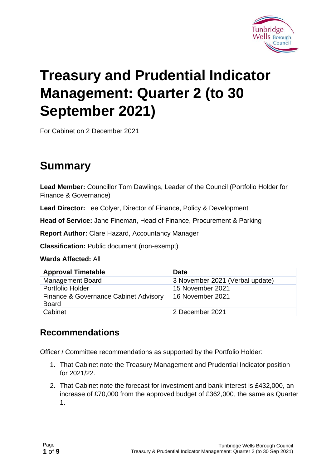

# **Treasury and Prudential Indicator Management: Quarter 2 (to 30 September 2021)**

For Cabinet on 2 December 2021

### **Summary**

**Lead Member:** Councillor Tom Dawlings, Leader of the Council (Portfolio Holder for Finance & Governance)

**Lead Director:** Lee Colyer, Director of Finance, Policy & Development

**Head of Service:** Jane Fineman, Head of Finance, Procurement & Parking

**Report Author:** Clare Hazard, Accountancy Manager

**Classification:** Public document (non-exempt)

#### **Wards Affected:** All

| <b>Approval Timetable</b>             | <b>Date</b>                     |
|---------------------------------------|---------------------------------|
| <b>Management Board</b>               | 3 November 2021 (Verbal update) |
| <b>Portfolio Holder</b>               | 15 November 2021                |
| Finance & Governance Cabinet Advisory | 16 November 2021                |
| <b>Board</b>                          |                                 |
| Cabinet                               | 2 December 2021                 |

#### **Recommendations**

Officer / Committee recommendations as supported by the Portfolio Holder:

- 1. That Cabinet note the Treasury Management and Prudential Indicator position for 2021/22.
- 2. That Cabinet note the forecast for investment and bank interest is £432,000, an increase of £70,000 from the approved budget of £362,000, the same as Quarter 1.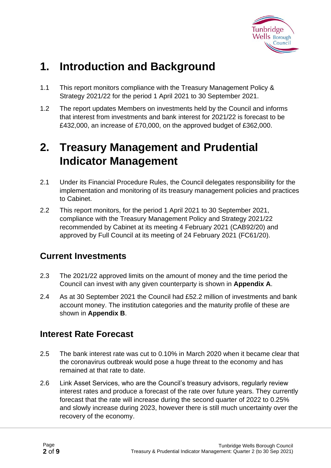

### **1. Introduction and Background**

- 1.1 This report monitors compliance with the Treasury Management Policy & Strategy 2021/22 for the period 1 April 2021 to 30 September 2021.
- 1.2 The report updates Members on investments held by the Council and informs that interest from investments and bank interest for 2021/22 is forecast to be £432,000, an increase of £70,000, on the approved budget of £362,000.

### **2. Treasury Management and Prudential Indicator Management**

- 2.1 Under its Financial Procedure Rules, the Council delegates responsibility for the implementation and monitoring of its treasury management policies and practices to Cabinet.
- 2.2 This report monitors, for the period 1 April 2021 to 30 September 2021, compliance with the Treasury Management Policy and Strategy 2021/22 recommended by Cabinet at its meeting 4 February 2021 (CAB92/20) and approved by Full Council at its meeting of 24 February 2021 (FC61/20).

#### **Current Investments**

- 2.3 The 2021/22 approved limits on the amount of money and the time period the Council can invest with any given counterparty is shown in **Appendix A**.
- 2.4 As at 30 September 2021 the Council had £52.2 million of investments and bank account money. The institution categories and the maturity profile of these are shown in **Appendix B**.

#### **Interest Rate Forecast**

- 2.5 The bank interest rate was cut to 0.10% in March 2020 when it became clear that the coronavirus outbreak would pose a huge threat to the economy and has remained at that rate to date.
- 2.6 Link Asset Services, who are the Council's treasury advisors, regularly review interest rates and produce a forecast of the rate over future years. They currently forecast that the rate will increase during the second quarter of 2022 to 0.25% and slowly increase during 2023, however there is still much uncertainty over the recovery of the economy.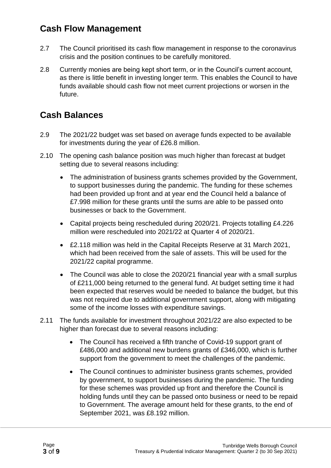#### **Cash Flow Management**

- 2.7 The Council prioritised its cash flow management in response to the coronavirus crisis and the position continues to be carefully monitored.
- 2.8 Currently monies are being kept short term, or in the Council's current account, as there is little benefit in investing longer term. This enables the Council to have funds available should cash flow not meet current projections or worsen in the future.

#### **Cash Balances**

- 2.9 The 2021/22 budget was set based on average funds expected to be available for investments during the year of £26.8 million.
- 2.10 The opening cash balance position was much higher than forecast at budget setting due to several reasons including:
	- The administration of business grants schemes provided by the Government, to support businesses during the pandemic. The funding for these schemes had been provided up front and at year end the Council held a balance of £7.998 million for these grants until the sums are able to be passed onto businesses or back to the Government.
	- Capital projects being rescheduled during 2020/21. Projects totalling £4.226 million were rescheduled into 2021/22 at Quarter 4 of 2020/21.
	- £2.118 million was held in the Capital Receipts Reserve at 31 March 2021, which had been received from the sale of assets. This will be used for the 2021/22 capital programme.
	- The Council was able to close the 2020/21 financial year with a small surplus of £211,000 being returned to the general fund. At budget setting time it had been expected that reserves would be needed to balance the budget, but this was not required due to additional government support, along with mitigating some of the income losses with expenditure savings.
- 2.11 The funds available for investment throughout 2021/22 are also expected to be higher than forecast due to several reasons including:
	- The Council has received a fifth tranche of Covid-19 support grant of £486,000 and additional new burdens grants of £346,000, which is further support from the government to meet the challenges of the pandemic.
	- The Council continues to administer business grants schemes, provided by government, to support businesses during the pandemic. The funding for these schemes was provided up front and therefore the Council is holding funds until they can be passed onto business or need to be repaid to Government. The average amount held for these grants, to the end of September 2021, was £8.192 million.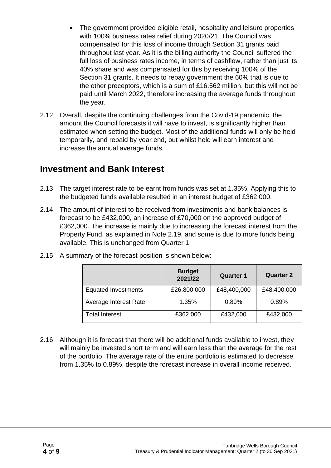- The government provided eligible retail, hospitality and leisure properties with 100% business rates relief during 2020/21. The Council was compensated for this loss of income through Section 31 grants paid throughout last year. As it is the billing authority the Council suffered the full loss of business rates income, in terms of cashflow, rather than just its 40% share and was compensated for this by receiving 100% of the Section 31 grants. It needs to repay government the 60% that is due to the other preceptors, which is a sum of £16.562 million, but this will not be paid until March 2022, therefore increasing the average funds throughout the year.
- 2.12 Overall, despite the continuing challenges from the Covid-19 pandemic, the amount the Council forecasts it will have to invest, is significantly higher than estimated when setting the budget. Most of the additional funds will only be held temporarily, and repaid by year end, but whilst held will earn interest and increase the annual average funds.

#### **Investment and Bank Interest**

- 2.13 The target interest rate to be earnt from funds was set at 1.35%. Applying this to the budgeted funds available resulted in an interest budget of £362,000.
- 2.14 The amount of interest to be received from investments and bank balances is forecast to be £432,000, an increase of £70,000 on the approved budget of £362,000. The increase is mainly due to increasing the forecast interest from the Property Fund, as explained in Note 2.19, and some is due to more funds being available. This is unchanged from Quarter 1.

|                            | <b>Budget</b><br>2021/22 | <b>Quarter 1</b> | <b>Quarter 2</b> |
|----------------------------|--------------------------|------------------|------------------|
| <b>Equated Investments</b> | £26,800,000              | £48,400,000      | £48,400,000      |
| Average Interest Rate      | 1.35%                    | 0.89%            | 0.89%            |
| <b>Total Interest</b>      | £362,000                 | £432,000         | £432,000         |

2.15 A summary of the forecast position is shown below:

2.16 Although it is forecast that there will be additional funds available to invest, they will mainly be invested short term and will earn less than the average for the rest of the portfolio. The average rate of the entire portfolio is estimated to decrease from 1.35% to 0.89%, despite the forecast increase in overall income received.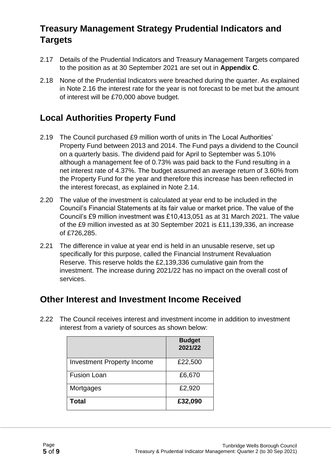#### **Treasury Management Strategy Prudential Indicators and Targets**

- 2.17 Details of the Prudential Indicators and Treasury Management Targets compared to the position as at 30 September 2021 are set out in **Appendix C**.
- 2.18 None of the Prudential Indicators were breached during the quarter. As explained in Note 2.16 the interest rate for the year is not forecast to be met but the amount of interest will be £70,000 above budget.

#### **Local Authorities Property Fund**

- 2.19 The Council purchased £9 million worth of units in The Local Authorities' Property Fund between 2013 and 2014. The Fund pays a dividend to the Council on a quarterly basis. The dividend paid for April to September was 5.10% although a management fee of 0.73% was paid back to the Fund resulting in a net interest rate of 4.37%. The budget assumed an average return of 3.60% from the Property Fund for the year and therefore this increase has been reflected in the interest forecast, as explained in Note 2.14.
- 2.20 The value of the investment is calculated at year end to be included in the Council's Financial Statements at its fair value or market price. The value of the Council's £9 million investment was £10,413,051 as at 31 March 2021. The value of the £9 million invested as at 30 September 2021 is £11,139,336, an increase of £726,285.
- 2.21 The difference in value at year end is held in an unusable reserve, set up specifically for this purpose, called the Financial Instrument Revaluation Reserve. This reserve holds the £2,139,336 cumulative gain from the investment. The increase during 2021/22 has no impact on the overall cost of services.

#### **Other Interest and Investment Income Received**

2.22 The Council receives interest and investment income in addition to investment interest from a variety of sources as shown below:

|                                   | <b>Budget</b><br>2021/22 |
|-----------------------------------|--------------------------|
| <b>Investment Property Income</b> | £22,500                  |
| <b>Fusion Loan</b>                | £6,670                   |
| Mortgages                         | £2,920                   |
| <b>Total</b>                      | £32,090                  |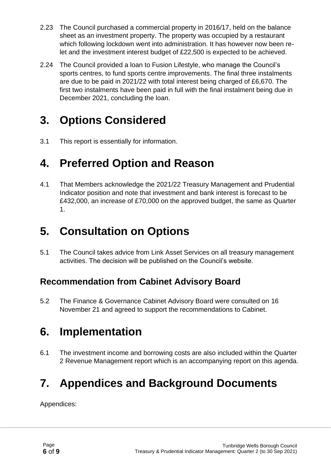- 2.23 The Council purchased a commercial property in 2016/17, held on the balance sheet as an investment property. The property was occupied by a restaurant which following lockdown went into administration. It has however now been relet and the investment interest budget of £22,500 is expected to be achieved.
- 2.24 The Council provided a loan to Fusion Lifestyle, who manage the Council's sports centres, to fund sports centre improvements. The final three instalments are due to be paid in 2021/22 with total interest being charged of £6,670. The first two instalments have been paid in full with the final instalment being due in December 2021, concluding the loan.

### **3. Options Considered**

3.1 This report is essentially for information.

### **4. Preferred Option and Reason**

4.1 That Members acknowledge the 2021/22 Treasury Management and Prudential Indicator position and note that investment and bank interest is forecast to be £432,000, an increase of £70,000 on the approved budget, the same as Quarter 1.

### **5. Consultation on Options**

5.1 The Council takes advice from Link Asset Services on all treasury management activities. The decision will be published on the Council's website.

#### **Recommendation from Cabinet Advisory Board**

5.2 The Finance & Governance Cabinet Advisory Board were consulted on 16 November 21 and agreed to support the recommendations to Cabinet.

### **6. Implementation**

6.1 The investment income and borrowing costs are also included within the Quarter 2 Revenue Management report which is an accompanying report on this agenda.

## **7. Appendices and Background Documents**

Appendices: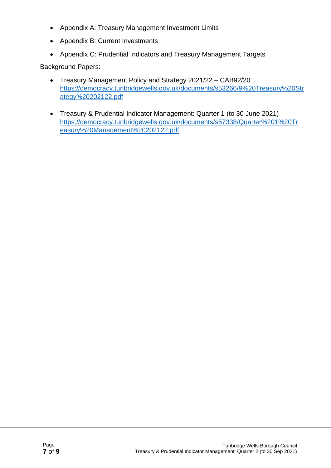- Appendix A: Treasury Management Investment Limits
- Appendix B: Current Investments
- Appendix C: Prudential Indicators and Treasury Management Targets

Background Papers:

- Treasury Management Policy and Strategy 2021/22 CAB92/20 [https://democracy.tunbridgewells.gov.uk/documents/s53266/9%20Treasury%20Str](https://democracy.tunbridgewells.gov.uk/documents/s53266/9%20Treasury%20Strategy%20202122.pdf) [ategy%20202122.pdf](https://democracy.tunbridgewells.gov.uk/documents/s53266/9%20Treasury%20Strategy%20202122.pdf)
- Treasury & Prudential Indicator Management: Quarter 1 (to 30 June 2021) [https://democracy.tunbridgewells.gov.uk/documents/s57338/Quarter%201%20Tr](https://democracy.tunbridgewells.gov.uk/documents/s57338/Quarter%201%20Treasury%20Management%20202122.pdf) [easury%20Management%20202122.pdf](https://democracy.tunbridgewells.gov.uk/documents/s57338/Quarter%201%20Treasury%20Management%20202122.pdf)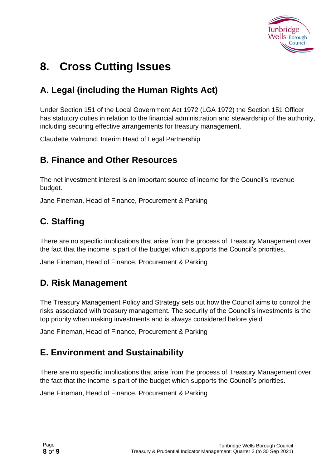

### **8. Cross Cutting Issues**

#### **A. Legal (including the Human Rights Act)**

Under Section 151 of the Local Government Act 1972 (LGA 1972) the Section 151 Officer has statutory duties in relation to the financial administration and stewardship of the authority, including securing effective arrangements for treasury management.

Claudette Valmond, Interim Head of Legal Partnership

#### **B. Finance and Other Resources**

The net investment interest is an important source of income for the Council's revenue budget.

Jane Fineman, Head of Finance, Procurement & Parking

#### **C. Staffing**

There are no specific implications that arise from the process of Treasury Management over the fact that the income is part of the budget which supports the Council's priorities.

Jane Fineman, Head of Finance, Procurement & Parking

#### **D. Risk Management**

The Treasury Management Policy and Strategy sets out how the Council aims to control the risks associated with treasury management. The security of the Council's investments is the top priority when making investments and is always considered before yield

Jane Fineman, Head of Finance, Procurement & Parking

#### **E. Environment and Sustainability**

There are no specific implications that arise from the process of Treasury Management over the fact that the income is part of the budget which supports the Council's priorities.

Jane Fineman, Head of Finance, Procurement & Parking